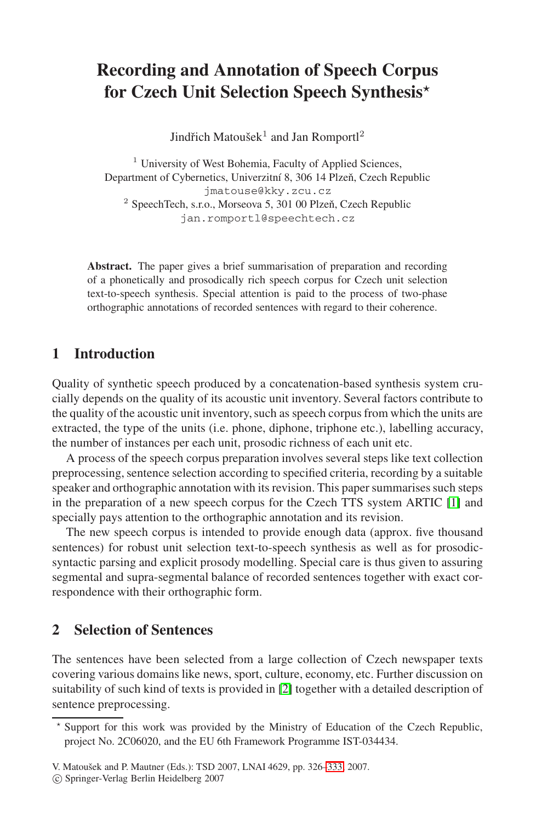# **Recording and Annotation of Speech Corpus for Czech Unit Selection Speech Synthesis***-*

Jindřich Matoušek<sup>1</sup> and Jan Romportl<sup>2</sup>

<sup>1</sup> University of West Bohemia, Faculty of Applied Sciences, Department of Cybernetics, Univerzitní 8, 306 14 Plzeň, Czech Republic jmatouse@kky.zcu.cz  $2$  SpeechTech, s.r.o., Morseova 5, 301 00 Plzeň, Czech Republic jan.romportl@speechtech.cz

**Abstract.** The paper gives a brief summarisation of preparation and recording of a phonetically and prosodically rich speech corpus for Czech unit selection text-to-speech synthesis. Special attention is paid to the process of two-phase orthographic annotations of recorded sentences with regard to their coherence.

## **1 Introduction**

Quality of synthetic speech produced by a concatenation-based synthesis system crucially depends on the quality of its acoustic unit inventory. Several factors contribute to the quality of the acoustic unit inventory, such as speech corpus from which the units are extracted, the type of the units (i.e. phone, diphone, triphone etc.), labelling accuracy, the number of instances per each unit, prosodic richness of each unit etc.

A process of the speech corpus preparation involves several steps like text collection preprocessing, sentence selection according to specified criteria, recording by a suitable speaker and orthographic annotation with its revision. This paper summarises such steps in the preparation of a new speech corpus for the Czech TTS system ARTIC [\[1\]](#page-7-0) and specially pays attention to the orthographic annotation and its revision.

The new speech corpus is intended to provide enough data (approx. five thousand sentences) for robust unit selection text-to-speech synthesis as well as for prosodicsyntactic parsing and explicit prosody modelling. Special care is thus given to assuring segmental and supra-segmental balance of recorded sentences together with exact correspondence with their orthographic form.

## <span id="page-0-0"></span>**2 Selection of Sentences**

The sentences have been selected from a large collection of Czech newspaper texts covering various domains like news, sport, culture, economy, etc. Further discussion on suitability of such kind of texts is provided in [\[2\]](#page-7-1) together with a detailed description of sentence preprocessing.

<sup>-</sup> Support for this work was provided by the Ministry of Education of the Czech Republic, project No. 2C06020, and the EU 6th Framework Programme IST-034434.

V. Matoušek and P. Mautner (Eds.): TSD 2007, LNAI 4629, pp. 326-333, 2007.

<sup>-</sup>c Springer-Verlag Berlin Heidelberg 2007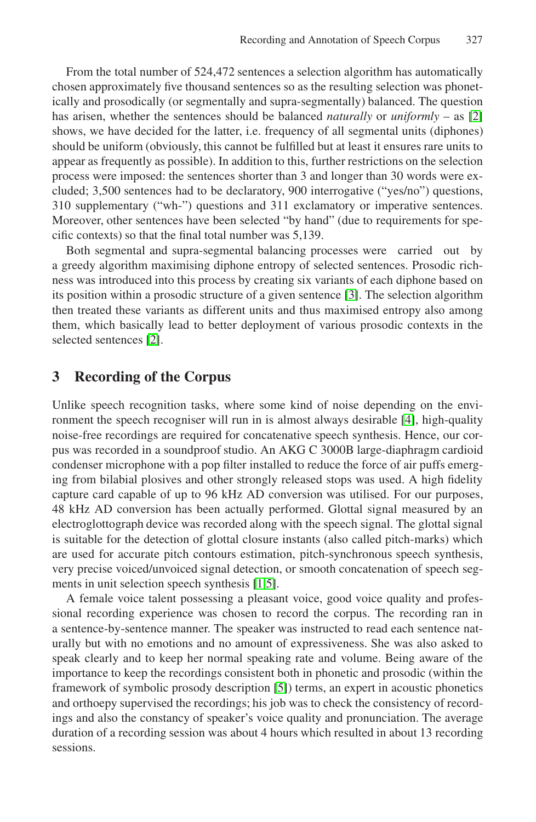From the total number of 524,472 sentences a selection algorithm has automatically chosen approximately five thousand sentences so as the resulting selection was phonetically and prosodically (or segmentally and supra-segmentally) balanced. The question has arisen, whether the sentences should be balanced *naturally* or *uniformly* – as [\[2\]](#page-7-1) shows, we have decided for the latter, i.e. frequency of all segmental units (diphones) should be uniform (obviously, this cannot be fulfilled but at least it ensures rare units to appear as frequently as possible). In addition to this, further restrictions on the selection process were imposed: the sentences shorter than 3 and longer than 30 words were excluded; 3,500 sentences had to be declaratory, 900 interrogative ("yes/no") questions, 310 supplementary ("wh-") questions and 311 exclamatory or imperative sentences. Moreover, other sentences have been selected "by hand" (due to requirements for specific contexts) so that the final total number was 5,139.

Both segmental and supra-segmental balancing processes were carried out by a greedy algorithm maximising diphone entropy of selected sentences. Prosodic richness was introduced into this process by creating six variants of each diphone based on its position within a prosodic structure of a given sentence [\[3\]](#page-7-3). The selection algorithm then treated these variants as different units and thus maximised entropy also among them, which basically lead to better deployment of various prosodic contexts in the selected sentences [\[2\]](#page-7-1).

### **3 Recording of the Corpus**

Unlike speech recognition tasks, where some kind of noise depending on the environment the speech recogniser will run in is almost always desirable [\[4\]](#page-7-4), high-quality noise-free recordings are required for concatenative speech synthesis. Hence, our corpus was recorded in a soundproof studio. An AKG C 3000B large-diaphragm cardioid condenser microphone with a pop filter installed to reduce the force of air puffs emerging from bilabial plosives and other strongly released stops was used. A high fidelity capture card capable of up to 96 kHz AD conversion was utilised. For our purposes, 48 kHz AD conversion has been actually performed. Glottal signal measured by an electroglottograph device was recorded along with the speech signal. The glottal signal is suitable for the detection of glottal closure instants (also called pitch-marks) which are used for accurate pitch contours estimation, pitch-synchronous speech synthesis, very precise voiced/unvoiced signal detection, or smooth concatenation of speech segments in unit selection speech synthesis [\[1,](#page-7-0)[5\]](#page-7-5).

A female voice talent possessing a pleasant voice, good voice quality and professional recording experience was chosen to record the corpus. The recording ran in a sentence-by-sentence manner. The speaker was instructed to read each sentence naturally but with no emotions and no amount of expressiveness. She was also asked to speak clearly and to keep her normal speaking rate and volume. Being aware of the importance to keep the recordings consistent both in phonetic and prosodic (within the framework of symbolic prosody description [\[5\]](#page-7-5)) terms, an expert in acoustic phonetics and orthoepy supervised the recordings; his job was to check the consistency of recordings and also the constancy of speaker's voice quality and pronunciation. The average duration of a recording session was about 4 hours which resulted in about 13 recording sessions.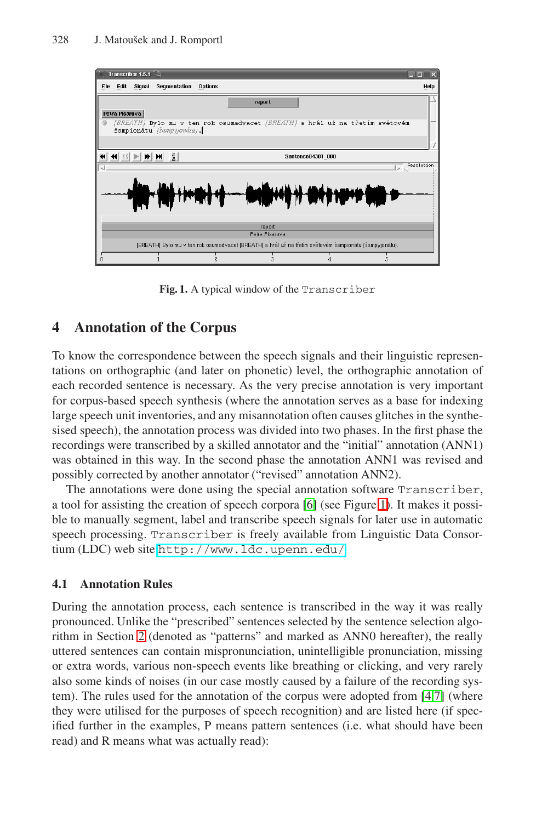

**Fig. 1.** A typical window of the Transcriber

## <span id="page-2-0"></span>**4 Annotation of the Corpus**

To know the correspondence between the speech signals and their linguistic representations on orthographic (and later on phonetic) level, the orthographic annotation of each recorded sentence is necessary. As the very precise annotation is very important for corpus-based speech synthesis (where the annotation serves as a base for indexing large speech unit inventories, and any misannotation often causes glitches in the synthesised speech), the annotation process was divided into two phases. In the first phase the recordings were transcribed by a skilled annotator and the "initial" annotation (ANN1) was obtained in this way. In the second phase the annotation ANN1 was revised and possibly corrected by another annotator ("revised" annotation ANN2).

The annotations were done using the special annotation software Transcriber, a tool for assisting the creation of speech corpora [\[6\]](#page-7-6) (see Figure [1\)](#page-2-0). It makes it possible to manually segment, label and transcribe speech signals for later use in automatic speech processing. Transcriber is freely available from Linguistic Data Consortium (LDC) web site <http://www.ldc.upenn.edu/>.

#### <span id="page-2-1"></span>**4.1 Annotation Rules**

During the annotation process, each sentence is transcribed in the way it was really pronounced. Unlike the "prescribed" sentences selected by the sentence selection algorithm in Section [2](#page-0-0) (denoted as "patterns" and marked as ANN0 hereafter), the really uttered sentences can contain mispronunciation, unintelligible pronunciation, missing or extra words, various non-speech events like breathing or clicking, and very rarely also some kinds of noises (in our case mostly caused by a failure of the recording system). The rules used for the annotation of the corpus were adopted from [\[4,](#page-7-4)[7\]](#page-7-7) (where they were utilised for the purposes of speech recognition) and are listed here (if specified further in the examples, P means pattern sentences (i.e. what should have been read) and R means what was actually read):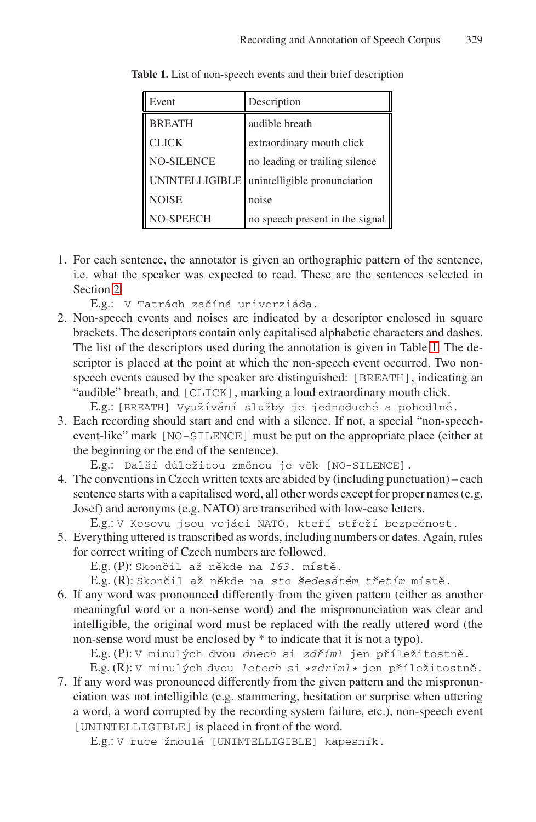| Event             | Description                     |
|-------------------|---------------------------------|
| <b>BREATH</b>     | audible breath                  |
| <b>CLICK</b>      | extraordinary mouth click       |
| <b>NO-SILENCE</b> | no leading or trailing silence  |
| UNINTELLIGIBLE    | unintelligible pronunciation    |
| <b>NOISE</b>      | noise                           |
| <b>NO-SPEECH</b>  | no speech present in the signal |

<span id="page-3-0"></span>**Table 1.** List of non-speech events and their brief description

1. For each sentence, the annotator is given an orthographic pattern of the sentence, i.e. what the speaker was expected to read. These are the sentences selected in Section [2.](#page-0-0)

E.g.: V Tatrách začíná univerziáda.

2. Non-speech events and noises are indicated by a descriptor enclosed in square brackets. The descriptors contain only capitalised alphabetic characters and dashes. The list of the descriptors used during the annotation is given in Table [1.](#page-3-0) The descriptor is placed at the point at which the non-speech event occurred. Two nonspeech events caused by the speaker are distinguished: [BREATH], indicating an "audible" breath, and [CLICK], marking a loud extraordinary mouth click.

E.g.: [BREATH] Využívání služby je jednoduché a pohodlné.

3. Each recording should start and end with a silence. If not, a special "non-speechevent-like" mark [NO-SILENCE] must be put on the appropriate place (either at the beginning or the end of the sentence).

E.g.: Další důležitou změnou je věk [NO-SILENCE].

4. The conventions in Czech written texts are abided by (including punctuation) – each sentence starts with a capitalised word, all other words except for proper names (e.g. Josef) and acronyms (e.g. NATO) are transcribed with low-case letters.

E.g.: V Kosovu jsou vojáci NATO, kteří střeží bezpečnost.

5. Everything uttered is transcribed as words, including numbers or dates. Again, rules for correct writing of Czech numbers are followed.

E.g. (P): Skončil až někde na 163. místě.

E.g. (R): Skončil až někde na sto šedesátém třetím místě.

6. If any word was pronounced differently from the given pattern (either as another meaningful word or a non-sense word) and the mispronunciation was clear and intelligible, the original word must be replaced with the really uttered word (the non-sense word must be enclosed by \* to indicate that it is not a typo).

E.g. (P): V minulých dvou dnech si zdříml jen příležitostně.

E.g. (R): V minulých dvou letech si \*zdríml\* jen příležitostně.

7. If any word was pronounced differently from the given pattern and the mispronunciation was not intelligible (e.g. stammering, hesitation or surprise when uttering a word, a word corrupted by the recording system failure, etc.), non-speech event [UNINTELLIGIBLE] is placed in front of the word.

E.g.: V ruce žmoulá [UNINTELLIGIBLE] kapesník.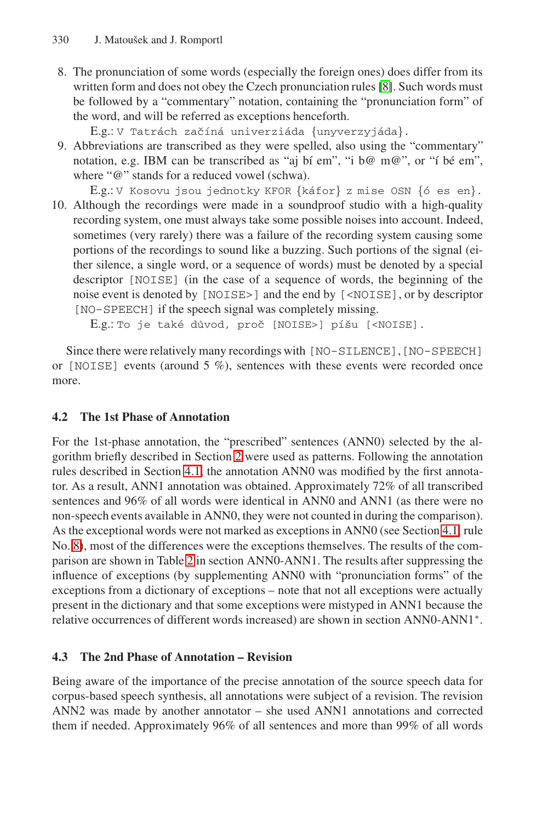<span id="page-4-0"></span>8. The pronunciation of some words (especially the foreign ones) does differ from its written form and does not obey the Czech pronunciation rules [\[8\]](#page-7-8). Such words must be followed by a "commentary" notation, containing the "pronunciation form" of the word, and will be referred as exceptions henceforth.

E.g.: V Tatrách začíná univerziáda {unyverzyjáda}.

- 9. Abbreviations are transcribed as they were spelled, also using the "commentary" notation, e.g. IBM can be transcribed as "aj bí em", "i b $@$  m $@$ ", or "í bé em", where "@" stands for a reduced vowel (schwa).
- E.g.: V Kosovu jsou jednotky KFOR  $\{káfor\}$  z mise OSN  $\{6$  es en $\}.$ 10. Although the recordings were made in a soundproof studio with a high-quality recording system, one must always take some possible noises into account. Indeed, sometimes (very rarely) there was a failure of the recording system causing some portions of the recordings to sound like a buzzing. Such portions of the signal (either silence, a single word, or a sequence of words) must be denoted by a special descriptor [NOISE] (in the case of a sequence of words, the beginning of the noise event is denoted by [NOISE>] and the end by [<NOISE], or by descriptor [NO-SPEECH] if the speech signal was completely missing.

E.g.: To je také důvod, proč [NOISE>] píšu [<NOISE].

Since there were relatively many recordings with [NO-SILENCE], [NO-SPEECH] or  $[NOISE]$  events (around 5 %), sentences with these events were recorded once more.

## **4.2 The 1st Phase of Annotation**

For the 1st-phase annotation, the "prescribed" sentences (ANN0) selected by the algorithm briefly described in Section [2](#page-0-0) were used as patterns. Following the annotation rules described in Section [4.1,](#page-2-1) the annotation ANN0 was modified by the first annotator. As a result, ANN1 annotation was obtained. Approximately 72% of all transcribed sentences and 96% of all words were identical in ANN0 and ANN1 (as there were no non-speech events available in ANN0, they were not counted in during the comparison). As the exceptional words were not marked as exceptions in ANN0 (see Section [4.1,](#page-2-1) rule No. [8\)](#page-4-0), most of the differences were the exceptions themselves. The results of the comparison are shown in Table [2](#page-5-0) in section ANN0-ANN1. The results after suppressing the influence of exceptions (by supplementing ANN0 with "pronunciation forms" of the exceptions from a dictionary of exceptions – note that not all exceptions were actually present in the dictionary and that some exceptions were mistyped in ANN1 because the relative occurrences of different words increased) are shown in section ANN0-ANN1∗.

## **4.3 The 2nd Phase of Annotation – Revision**

Being aware of the importance of the precise annotation of the source speech data for corpus-based speech synthesis, all annotations were subject of a revision. The revision ANN2 was made by another annotator – she used ANN1 annotations and corrected them if needed. Approximately 96% of all sentences and more than 99% of all words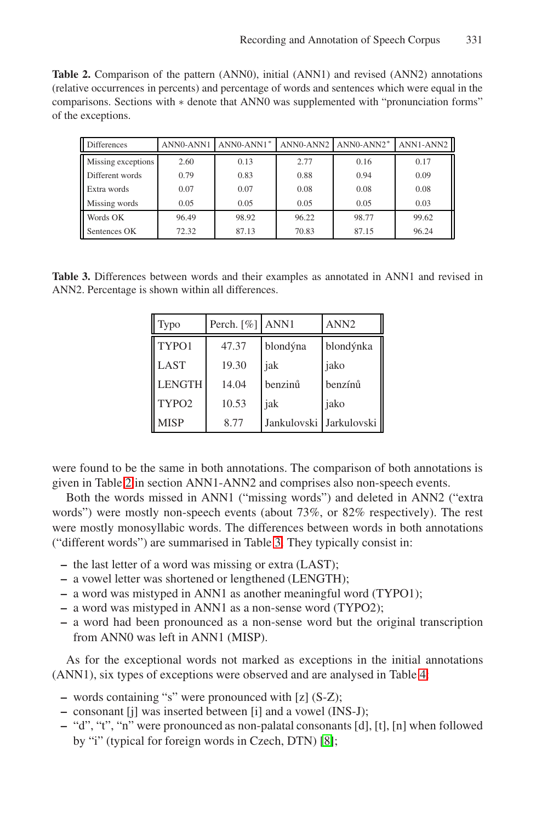<span id="page-5-0"></span>**Table 2.** Comparison of the pattern (ANN0), initial (ANN1) and revised (ANN2) annotations (relative occurrences in percents) and percentage of words and sentences which were equal in the comparisons. Sections with ∗ denote that ANN0 was supplemented with "pronunciation forms" of the exceptions.

| <b>Differences</b> | ANN0-ANN1 | ANN0-ANN1* | ANN0-ANN2 | $ANNO-ANN2*$ | ANN1-ANN2 |
|--------------------|-----------|------------|-----------|--------------|-----------|
| Missing exceptions | 2.60      | 0.13       | 2.77      | 0.16         | 0.17      |
| Different words    | 0.79      | 0.83       | 0.88      | 0.94         | 0.09      |
| Extra words        | 0.07      | 0.07       | 0.08      | 0.08         | 0.08      |
| Missing words      | 0.05      | 0.05       | 0.05      | 0.05         | 0.03      |
| Words OK           | 96.49     | 98.92      | 96.22     | 98.77        | 99.62     |
| Sentences OK       | 72.32     | 87.13      | 70.83     | 87.15        | 96.24     |

<span id="page-5-1"></span>**Table 3.** Differences between words and their examples as annotated in ANN1 and revised in ANN2. Percentage is shown within all differences.

| Typo              | Perch. $\lceil \% \rceil$ ANN1 |                           | ANN <sub>2</sub> |
|-------------------|--------------------------------|---------------------------|------------------|
| TYPO1             | 47.37                          | blondýna                  | blondýnka        |
| <b>LAST</b>       | 19.30                          | jak                       | jako             |
| <b>LENGTH</b>     | 14.04                          | benzinů                   | benzínů          |
| TYPO <sub>2</sub> | 10.53                          | jak                       | jako             |
| <b>MISP</b>       | 8.77                           | Jankulovski   Jarkulovski |                  |

were found to be the same in both annotations. The comparison of both annotations is given in Table [2](#page-5-0) in section ANN1-ANN2 and comprises also non-speech events.

Both the words missed in ANN1 ("missing words") and deleted in ANN2 ("extra words") were mostly non-speech events (about 73%, or 82% respectively). The rest were mostly monosyllabic words. The differences between words in both annotations ("different words") are summarised in Table [3.](#page-5-1) They typically consist in:

- **–** the last letter of a word was missing or extra (LAST);
- **–** a vowel letter was shortened or lengthened (LENGTH);
- **–** a word was mistyped in ANN1 as another meaningful word (TYPO1);
- **–** a word was mistyped in ANN1 as a non-sense word (TYPO2);
- **–** a word had been pronounced as a non-sense word but the original transcription from ANN0 was left in ANN1 (MISP).

As for the exceptional words not marked as exceptions in the initial annotations (ANN1), six types of exceptions were observed and are analysed in Table [4:](#page-6-0)

- **–** words containing "s" were pronounced with [z] (S-Z);
- **–** consonant [j] was inserted between [i] and a vowel (INS-J);
- **–** "d", "t", "n" were pronounced as non-palatal consonants [d], [t], [n] when followed by "i" (typical for foreign words in Czech, DTN) [\[8\]](#page-7-8);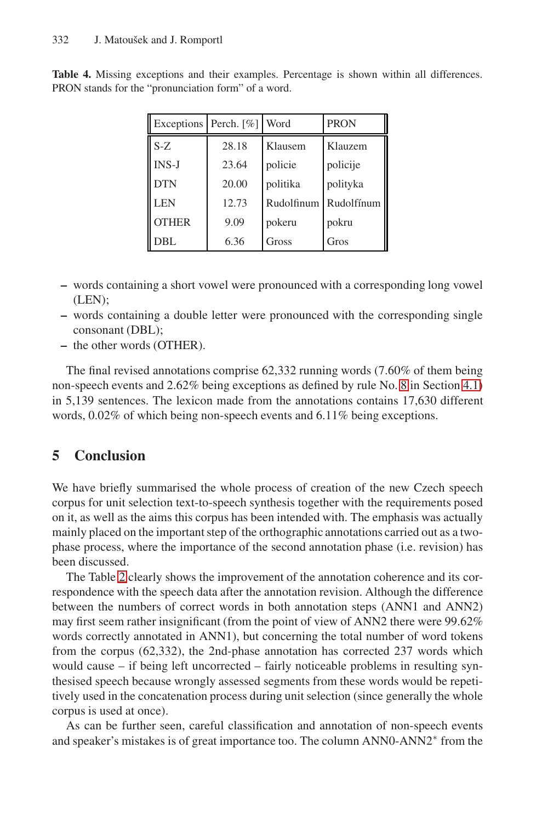| Exceptions Perch. [%] |       | Word       | <b>PRON</b> |
|-----------------------|-------|------------|-------------|
| $S-Z$                 | 28.18 | Klausem    | Klauzem     |
| $INS-J$               | 23.64 | policie    | policije    |
| <b>DTN</b>            | 20.00 | politika   | polityka    |
| <b>LEN</b>            | 12.73 | Rudolfinum | Rudolfínum  |
| <b>OTHER</b>          | 9.09  | pokeru     | pokru       |
| DBL                   | 6.36  | Gross      | Gros        |

<span id="page-6-0"></span>**Table 4.** Missing exceptions and their examples. Percentage is shown within all differences. PRON stands for the "pronunciation form" of a word.

- **–** words containing a short vowel were pronounced with a corresponding long vowel (LEN);
- **–** words containing a double letter were pronounced with the corresponding single consonant (DBL);
- **–** the other words (OTHER).

The final revised annotations comprise 62,332 running words (7.60% of them being non-speech events and 2.62% being exceptions as defined by rule No. [8](#page-4-0) in Section [4.1\)](#page-2-1) in 5,139 sentences. The lexicon made from the annotations contains 17,630 different words, 0.02% of which being non-speech events and 6.11% being exceptions.

## **5 Conclusion**

We have briefly summarised the whole process of creation of the new Czech speech corpus for unit selection text-to-speech synthesis together with the requirements posed on it, as well as the aims this corpus has been intended with. The emphasis was actually mainly placed on the important step of the orthographic annotations carried out as a twophase process, where the importance of the second annotation phase (i.e. revision) has been discussed.

The Table [2](#page-5-0) clearly shows the improvement of the annotation coherence and its correspondence with the speech data after the annotation revision. Although the difference between the numbers of correct words in both annotation steps (ANN1 and ANN2) may first seem rather insignificant (from the point of view of ANN2 there were 99.62% words correctly annotated in ANN1), but concerning the total number of word tokens from the corpus (62,332), the 2nd-phase annotation has corrected 237 words which would cause – if being left uncorrected – fairly noticeable problems in resulting synthesised speech because wrongly assessed segments from these words would be repetitively used in the concatenation process during unit selection (since generally the whole corpus is used at once).

As can be further seen, careful classification and annotation of non-speech events and speaker's mistakes is of great importance too. The column ANN0-ANN2<sup>∗</sup> from the